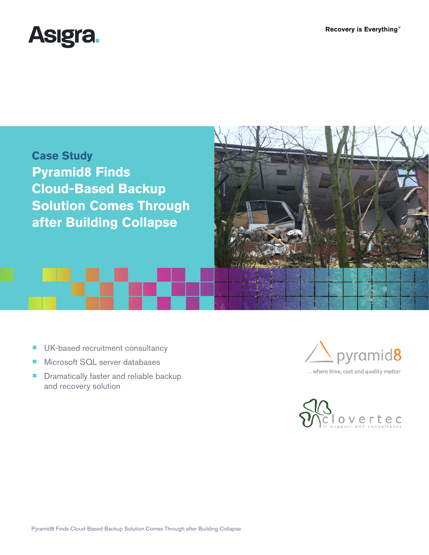



- UK-based recruitment consultancy
- Microsoft SQL server databases
- Dramatically faster and reliable backup and recovery solution



... where time, cost and quality matter

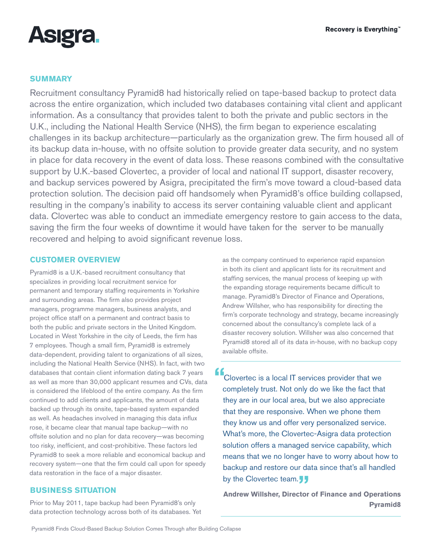

# **SUMMARY**

Recruitment consultancy Pyramid8 had historically relied on tape-based backup to protect data across the entire organization, which included two databases containing vital client and applicant information. As a consultancy that provides talent to both the private and public sectors in the U.K., including the National Health Service (NHS), the firm began to experience escalating challenges in its backup architecture—particularly as the organization grew. The firm housed all of its backup data in-house, with no offsite solution to provide greater data security, and no system in place for data recovery in the event of data loss. These reasons combined with the consultative support by U.K.-based Clovertec, a provider of local and national IT support, disaster recovery, and backup services powered by Asigra, precipitated the firm's move toward a cloud-based data protection solution. The decision paid off handsomely when Pyramid8's office building collapsed, resulting in the company's inability to access its server containing valuable client and applicant data. Clovertec was able to conduct an immediate emergency restore to gain access to the data, saving the firm the four weeks of downtime it would have taken for the server to be manually recovered and helping to avoid significant revenue loss.

# **CUSTOMER OVERVIEW**

Pyramid8 is a U.K.-based recruitment consultancy that specializes in providing local recruitment service for permanent and temporary staffing requirements in Yorkshire and surrounding areas. The firm also provides project managers, programme managers, business analysts, and project office staff on a permanent and contract basis to both the public and private sectors in the United Kingdom. Located in West Yorkshire in the city of Leeds, the firm has 7 employees. Though a small firm, Pyramid8 is extremely data-dependent, providing talent to organizations of all sizes, including the National Health Service (NHS). In fact, with two databases that contain client information dating back 7 years as well as more than 30,000 applicant resumes and CVs, data is considered the lifeblood of the entire company. As the firm continued to add clients and applicants, the amount of data backed up through its onsite, tape-based system expanded as well. As headaches involved in managing this data influx rose, it became clear that manual tape backup—with no offsite solution and no plan for data recovery—was becoming too risky, inefficient, and cost-prohibitive. These factors led Pyramid8 to seek a more reliable and economical backup and recovery system—one that the firm could call upon for speedy data restoration in the face of a major disaster.

# **BUSINESS SITUATION**

Prior to May 2011, tape backup had been Pyramid8's only data protection technology across both of its databases. Yet

as the company continued to experience rapid expansion in both its client and applicant lists for its recruitment and staffing services, the manual process of keeping up with the expanding storage requirements became difficult to manage. Pyramid8's Director of Finance and Operations, Andrew Willsher, who has responsibility for directing the firm's corporate technology and strategy, became increasingly concerned about the consultancy's complete lack of a disaster recovery solution. Willsher was also concerned that Pyramid8 stored all of its data in-house, with no backup copy available offsite.

**"**Clovertec is a local IT services provider that we completely trust. Not only do we like the fact that they are in our local area, but we also appreciate that they are responsive. When we phone them they know us and offer very personalized service. What's more, the Clovertec-Asigra data protection solution offers a managed service capability, which means that we no longer have to worry about how to backup and restore our data since that's all handled by the Clovertec team.<sub>J</sub><br>Andrew Willsher. Director

**Andrew Willsher, Director of Finance and Operations Pyramid8**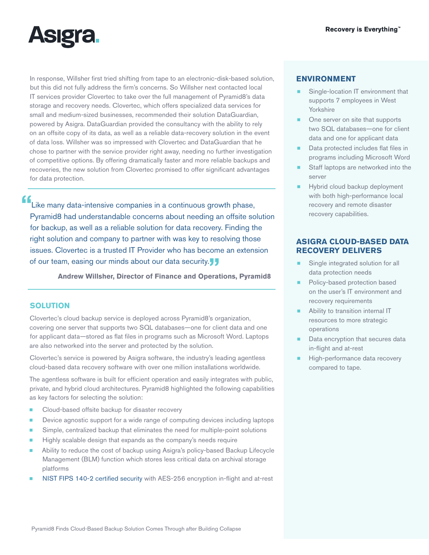

In response, Willsher first tried shifting from tape to an electronic-disk-based solution, but this did not fully address the firm's concerns. So Willsher next contacted local IT services provider Clovertec to take over the full management of Pyramid8's data storage and recovery needs. Clovertec, which offers specialized data services for small and medium-sized businesses, recommended their solution DataGuardian, powered by Asigra. DataGuardian provided the consultancy with the ability to rely on an offsite copy of its data, as well as a reliable data-recovery solution in the event of data loss. Willsher was so impressed with Clovertec and DataGuardian that he chose to partner with the service provider right away, needing no further investigation of competitive options. By offering dramatically faster and more reliable backups and recoveries, the new solution from Clovertec promised to offer significant advantages for data protection.

**"**Like many data-intensive companies in a continuous growth phase, Pyramid8 had understandable concerns about needing an offsite solution for backup, as well as a reliable solution for data recovery. Finding the right solution and company to partner with was key to resolving those issues. Clovertec is a trusted IT Provider who has become an extension of our team, easing our minds about our data security.**"**

**Andrew Willsher, Director of Finance and Operations, Pyramid8**

#### **SOLUTION**

Clovertec's cloud backup service is deployed across Pyramid8's organization, covering one server that supports two SQL databases—one for client data and one for applicant data—stored as flat files in programs such as Microsoft Word. Laptops are also networked into the server and protected by the solution.

Clovertec's service is powered by Asigra software, the industry's leading agentless cloud-based data recovery software with over one million installations worldwide.

The agentless software is built for efficient operation and easily integrates with public, private, and hybrid cloud architectures. Pyramid8 highlighted the following capabilities as key factors for selecting the solution:

- Cloud-based offsite backup for disaster recovery
- Device agnostic support for a wide range of computing devices including laptops
- Simple, centralized backup that eliminates the need for multiple-point solutions
- Highly scalable design that expands as the company's needs require
- Ability to reduce the cost of backup using Asigra's policy-based Backup Lifecycle Management (BLM) function which stores less critical data on archival storage platforms
- [NIST FIPS 140-2 certified security](http://www.asigra.com/fips-140-2-certification-backup) with AES-256 encryption in-flight and at-rest

#### **ENVIRONMENT**

- Single-location IT environment that supports 7 employees in West Yorkshire
- One server on site that supports two SQL databases—one for client data and one for applicant data
- Data protected includes flat files in programs including Microsoft Word
- Staff laptops are networked into the server
- **EXECUTE:** Hybrid cloud backup deployment with both high-performance local recovery and remote disaster recovery capabilities.

### **ASIGRA CLOUD-BASED DATA RECOVERY DELIVERS**

- Single integrated solution for all data protection needs
- Policy-based protection based on the user's IT environment and recovery requirements
- Ability to transition internal IT resources to more strategic operations
- Data encryption that secures data in-flight and at-rest
- High-performance data recovery compared to tape.